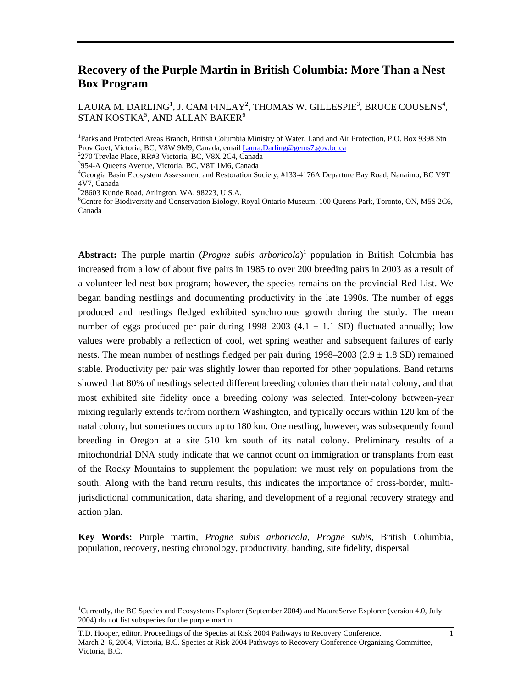# **Recovery of the Purple Martin in British Columbia: More Than a Nest Box Program**

LAURA M. DARLING<sup>1</sup>, J. CAM FINLAY<sup>2</sup>, THOMAS W. GILLESPIE<sup>3</sup>, BRUCE COUSENS<sup>4</sup>, STAN KOSTKA $^5$ , AND ALLAN BAKER $^6$ 

<sup>1</sup>Parks and Protected Areas Branch, British Columbia Ministry of Water, Land and Air Protection, P.O. Box 9398 Stn Prov Govt, Victoria, BC, V8W 9M9, Canada, email *Laura.Darling@gems7.gov.bc.ca* 

 $528603$  Kunde Road, Arlington, WA, 98223, U.S.A.

Abstract: The purple martin (*Progne subis arboricola*)<sup>[1](#page-0-0)</sup> population in British Columbia has increased from a low of about five pairs in 1985 to over 200 breeding pairs in 2003 as a result of a volunteer-led nest box program; however, the species remains on the provincial Red List. We began banding nestlings and documenting productivity in the late 1990s. The number of eggs produced and nestlings fledged exhibited synchronous growth during the study. The mean number of eggs produced per pair during  $1998-2003$  (4.1  $\pm$  1.1 SD) fluctuated annually; low values were probably a reflection of cool, wet spring weather and subsequent failures of early nests. The mean number of nestlings fledged per pair during  $1998-2003$  ( $2.9 \pm 1.8$  SD) remained stable. Productivity per pair was slightly lower than reported for other populations. Band returns showed that 80% of nestlings selected different breeding colonies than their natal colony, and that most exhibited site fidelity once a breeding colony was selected. Inter-colony between-year mixing regularly extends to/from northern Washington, and typically occurs within 120 km of the natal colony, but sometimes occurs up to 180 km. One nestling, however, was subsequently found breeding in Oregon at a site 510 km south of its natal colony. Preliminary results of a mitochondrial DNA study indicate that we cannot count on immigration or transplants from east of the Rocky Mountains to supplement the population: we must rely on populations from the south. Along with the band return results, this indicates the importance of cross-border, multijurisdictional communication, data sharing, and development of a regional recovery strategy and action plan.

**Key Words:** Purple martin, *Progne subis arboricola*, *Progne subis,* British Columbia, population, recovery, nesting chronology, productivity, banding, site fidelity, dispersal

<sup>&</sup>lt;sup>2</sup>270 Trevlac Place, RR#3 Victoria, BC, V8X 2C4, Canada

<sup>&</sup>lt;sup>3</sup>954-A Queens Avenue, Victoria, BC, V8T 1M6, Canada

<sup>&</sup>lt;sup>4</sup>Georgia Basin Ecosystem Assessment and Restoration Society, #133-4176A Departure Bay Road, Nanaimo, BC V9T 4V7, Canada <sup>5</sup>

Centre for Biodiversity and Conservation Biology, Royal Ontario Museum, 100 Queens Park, Toronto, ON, M5S 2C6, Canada

<span id="page-0-0"></span> $\frac{1}{1}$ Currently, the BC Species and Ecosystems Explorer (September 2004) and NatureServe Explorer (version 4.0, July 2004) do not list subspecies for the purple martin.

T.D. Hooper, editor. Proceedings of the Species at Risk 2004 Pathways to Recovery Conference. 1 March 2–6, 2004, Victoria, B.C. Species at Risk 2004 Pathways to Recovery Conference Organizing Committee, Victoria, B.C.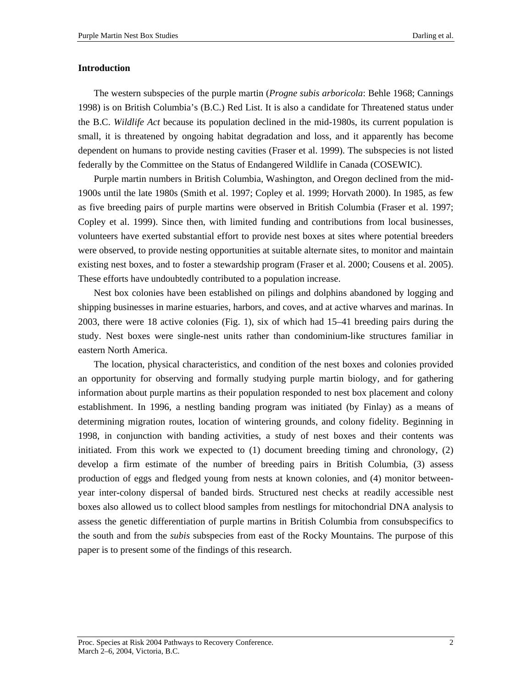#### **Introduction**

The western subspecies of the purple martin (*Progne subis arboricola*: Behle 1968; Cannings 1998) is on British Columbia's (B.C.) Red List. It is also a candidate for Threatened status under the B.C. *Wildlife Act* because its population declined in the mid-1980s, its current population is small, it is threatened by ongoing habitat degradation and loss, and it apparently has become dependent on humans to provide nesting cavities (Fraser et al. 1999). The subspecies is not listed federally by the Committee on the Status of Endangered Wildlife in Canada (COSEWIC).

Purple martin numbers in British Columbia, Washington, and Oregon declined from the mid-1900s until the late 1980s (Smith et al. 1997; Copley et al. 1999; Horvath 2000). In 1985, as few as five breeding pairs of purple martins were observed in British Columbia (Fraser et al. 1997; Copley et al. 1999). Since then, with limited funding and contributions from local businesses, volunteers have exerted substantial effort to provide nest boxes at sites where potential breeders were observed, to provide nesting opportunities at suitable alternate sites, to monitor and maintain existing nest boxes, and to foster a stewardship program (Fraser et al. 2000; Cousens et al. 2005). These efforts have undoubtedly contributed to a population increase.

Nest box colonies have been established on pilings and dolphins abandoned by logging and shipping businesses in marine estuaries, harbors, and coves, and at active wharves and marinas. In 2003, there were 18 active colonies (Fig. 1), six of which had 15–41 breeding pairs during the study. Nest boxes were single-nest units rather than condominium-like structures familiar in eastern North America.

The location, physical characteristics, and condition of the nest boxes and colonies provided an opportunity for observing and formally studying purple martin biology, and for gathering information about purple martins as their population responded to nest box placement and colony establishment. In 1996, a nestling banding program was initiated (by Finlay) as a means of determining migration routes, location of wintering grounds, and colony fidelity. Beginning in 1998, in conjunction with banding activities, a study of nest boxes and their contents was initiated. From this work we expected to (1) document breeding timing and chronology, (2) develop a firm estimate of the number of breeding pairs in British Columbia, (3) assess production of eggs and fledged young from nests at known colonies, and (4) monitor betweenyear inter-colony dispersal of banded birds. Structured nest checks at readily accessible nest boxes also allowed us to collect blood samples from nestlings for mitochondrial DNA analysis to assess the genetic differentiation of purple martins in British Columbia from consubspecifics to the south and from the *subis* subspecies from east of the Rocky Mountains. The purpose of this paper is to present some of the findings of this research.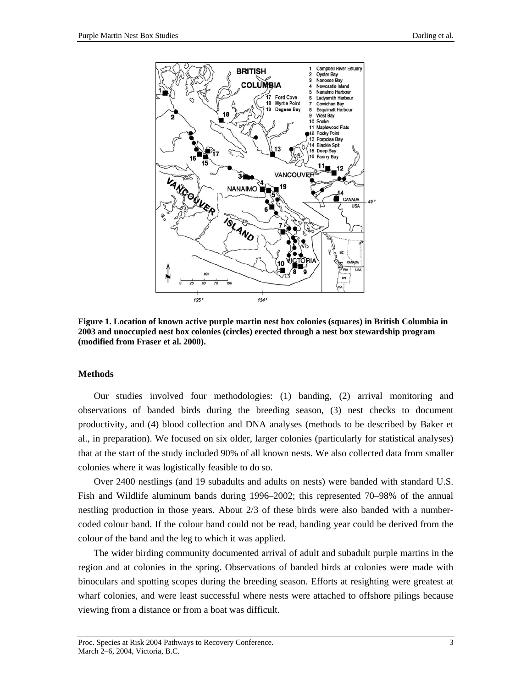

**Figure 1. Location of known active purple martin nest box colonies (squares) in British Columbia in 2003 and unoccupied nest box colonies (circles) erected through a nest box stewardship program (modified from Fraser et al. 2000).** 

#### **Methods**

Our studies involved four methodologies: (1) banding, (2) arrival monitoring and observations of banded birds during the breeding season, (3) nest checks to document productivity, and (4) blood collection and DNA analyses (methods to be described by Baker et al., in preparation). We focused on six older, larger colonies (particularly for statistical analyses) that at the start of the study included 90% of all known nests. We also collected data from smaller colonies where it was logistically feasible to do so.

Over 2400 nestlings (and 19 subadults and adults on nests) were banded with standard U.S. Fish and Wildlife aluminum bands during 1996–2002; this represented 70–98% of the annual nestling production in those years. About 2/3 of these birds were also banded with a numbercoded colour band. If the colour band could not be read, banding year could be derived from the colour of the band and the leg to which it was applied.

The wider birding community documented arrival of adult and subadult purple martins in the region and at colonies in the spring. Observations of banded birds at colonies were made with binoculars and spotting scopes during the breeding season. Efforts at resighting were greatest at wharf colonies, and were least successful where nests were attached to offshore pilings because viewing from a distance or from a boat was difficult.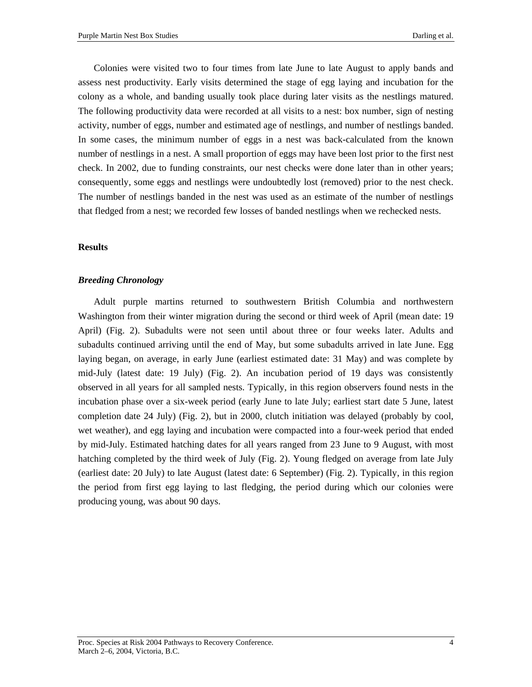Colonies were visited two to four times from late June to late August to apply bands and assess nest productivity. Early visits determined the stage of egg laying and incubation for the colony as a whole, and banding usually took place during later visits as the nestlings matured. The following productivity data were recorded at all visits to a nest: box number, sign of nesting activity, number of eggs, number and estimated age of nestlings, and number of nestlings banded. In some cases, the minimum number of eggs in a nest was back-calculated from the known number of nestlings in a nest. A small proportion of eggs may have been lost prior to the first nest check. In 2002, due to funding constraints, our nest checks were done later than in other years; consequently, some eggs and nestlings were undoubtedly lost (removed) prior to the nest check. The number of nestlings banded in the nest was used as an estimate of the number of nestlings that fledged from a nest; we recorded few losses of banded nestlings when we rechecked nests.

#### **Results**

#### *Breeding Chronology*

Adult purple martins returned to southwestern British Columbia and northwestern Washington from their winter migration during the second or third week of April (mean date: 19 April) (Fig. 2). Subadults were not seen until about three or four weeks later. Adults and subadults continued arriving until the end of May, but some subadults arrived in late June. Egg laying began, on average, in early June (earliest estimated date: 31 May) and was complete by mid-July (latest date: 19 July) (Fig. 2). An incubation period of 19 days was consistently observed in all years for all sampled nests. Typically, in this region observers found nests in the incubation phase over a six-week period (early June to late July; earliest start date 5 June, latest completion date 24 July) (Fig. 2), but in 2000, clutch initiation was delayed (probably by cool, wet weather), and egg laying and incubation were compacted into a four-week period that ended by mid-July. Estimated hatching dates for all years ranged from 23 June to 9 August, with most hatching completed by the third week of July (Fig. 2). Young fledged on average from late July (earliest date: 20 July) to late August (latest date: 6 September) (Fig. 2). Typically, in this region the period from first egg laying to last fledging, the period during which our colonies were producing young, was about 90 days.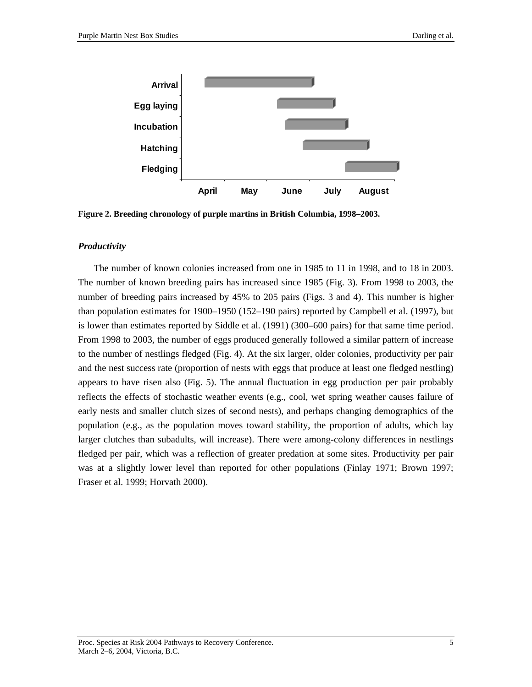

**Figure 2. Breeding chronology of purple martins in British Columbia, 1998–2003.** 

## *Productivity*

The number of known colonies increased from one in 1985 to 11 in 1998, and to 18 in 2003. The number of known breeding pairs has increased since 1985 (Fig. 3). From 1998 to 2003, the number of breeding pairs increased by 45% to 205 pairs (Figs. 3 and 4). This number is higher than population estimates for 1900–1950 (152–190 pairs) reported by Campbell et al. (1997), but is lower than estimates reported by Siddle et al. (1991) (300–600 pairs) for that same time period. From 1998 to 2003, the number of eggs produced generally followed a similar pattern of increase to the number of nestlings fledged (Fig. 4). At the six larger, older colonies, productivity per pair and the nest success rate (proportion of nests with eggs that produce at least one fledged nestling) appears to have risen also (Fig. 5). The annual fluctuation in egg production per pair probably reflects the effects of stochastic weather events (e.g., cool, wet spring weather causes failure of early nests and smaller clutch sizes of second nests), and perhaps changing demographics of the population (e.g., as the population moves toward stability, the proportion of adults, which lay larger clutches than subadults, will increase). There were among-colony differences in nestlings fledged per pair, which was a reflection of greater predation at some sites. Productivity per pair was at a slightly lower level than reported for other populations (Finlay 1971; Brown 1997; Fraser et al. 1999; Horvath 2000).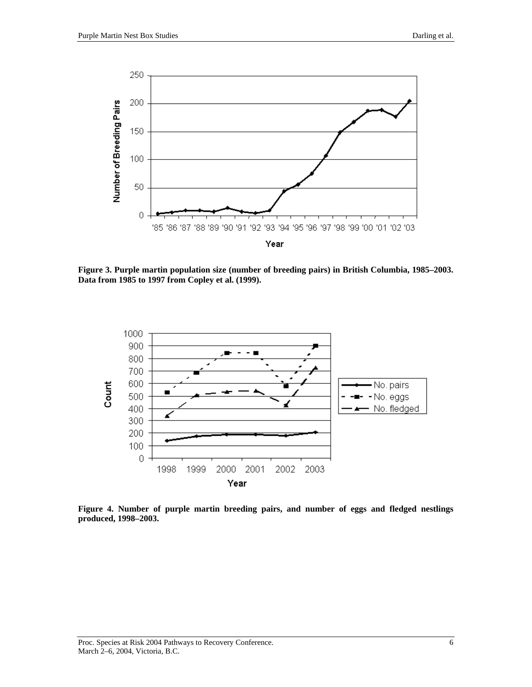

**Figure 3. Purple martin population size (number of breeding pairs) in British Columbia, 1985–2003. Data from 1985 to 1997 from Copley et al. (1999).** 



**Figure 4. Number of purple martin breeding pairs, and number of eggs and fledged nestlings produced, 1998–2003.**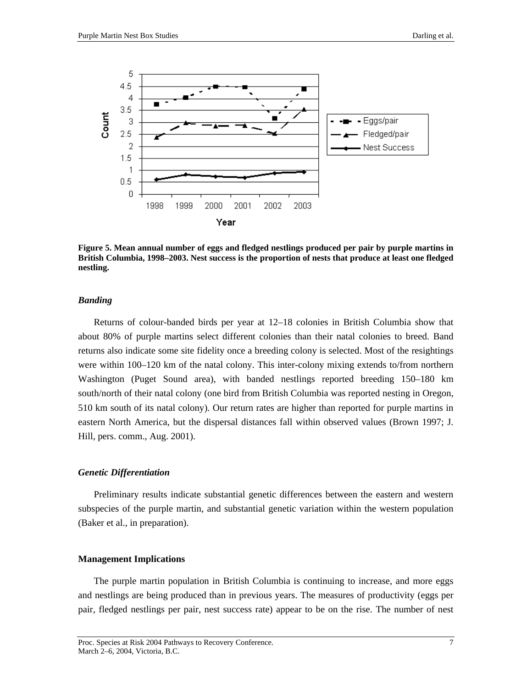

**Figure 5. Mean annual number of eggs and fledged nestlings produced per pair by purple martins in British Columbia, 1998–2003. Nest success is the proportion of nests that produce at least one fledged nestling.** 

#### *Banding*

Returns of colour-banded birds per year at 12–18 colonies in British Columbia show that about 80% of purple martins select different colonies than their natal colonies to breed. Band returns also indicate some site fidelity once a breeding colony is selected. Most of the resightings were within 100–120 km of the natal colony. This inter-colony mixing extends to/from northern Washington (Puget Sound area), with banded nestlings reported breeding 150–180 km south/north of their natal colony (one bird from British Columbia was reported nesting in Oregon, 510 km south of its natal colony). Our return rates are higher than reported for purple martins in eastern North America, but the dispersal distances fall within observed values (Brown 1997; J. Hill, pers. comm., Aug. 2001).

#### *Genetic Differentiation*

Preliminary results indicate substantial genetic differences between the eastern and western subspecies of the purple martin, and substantial genetic variation within the western population (Baker et al., in preparation).

#### **Management Implications**

The purple martin population in British Columbia is continuing to increase, and more eggs and nestlings are being produced than in previous years. The measures of productivity (eggs per pair, fledged nestlings per pair, nest success rate) appear to be on the rise. The number of nest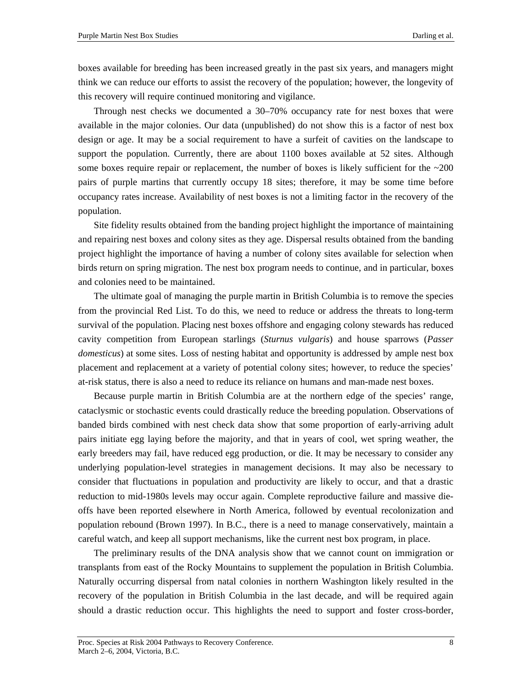boxes available for breeding has been increased greatly in the past six years, and managers might think we can reduce our efforts to assist the recovery of the population; however, the longevity of this recovery will require continued monitoring and vigilance.

Through nest checks we documented a 30–70% occupancy rate for nest boxes that were available in the major colonies. Our data (unpublished) do not show this is a factor of nest box design or age. It may be a social requirement to have a surfeit of cavities on the landscape to support the population. Currently, there are about 1100 boxes available at 52 sites. Although some boxes require repair or replacement, the number of boxes is likely sufficient for the  $\sim$ 200 pairs of purple martins that currently occupy 18 sites; therefore, it may be some time before occupancy rates increase. Availability of nest boxes is not a limiting factor in the recovery of the population.

Site fidelity results obtained from the banding project highlight the importance of maintaining and repairing nest boxes and colony sites as they age. Dispersal results obtained from the banding project highlight the importance of having a number of colony sites available for selection when birds return on spring migration. The nest box program needs to continue, and in particular, boxes and colonies need to be maintained.

The ultimate goal of managing the purple martin in British Columbia is to remove the species from the provincial Red List. To do this, we need to reduce or address the threats to long-term survival of the population. Placing nest boxes offshore and engaging colony stewards has reduced cavity competition from European starlings (*Sturnus vulgaris*) and house sparrows (*Passer domesticus*) at some sites. Loss of nesting habitat and opportunity is addressed by ample nest box placement and replacement at a variety of potential colony sites; however, to reduce the species' at-risk status, there is also a need to reduce its reliance on humans and man-made nest boxes.

Because purple martin in British Columbia are at the northern edge of the species' range, cataclysmic or stochastic events could drastically reduce the breeding population. Observations of banded birds combined with nest check data show that some proportion of early-arriving adult pairs initiate egg laying before the majority, and that in years of cool, wet spring weather, the early breeders may fail, have reduced egg production, or die. It may be necessary to consider any underlying population-level strategies in management decisions. It may also be necessary to consider that fluctuations in population and productivity are likely to occur, and that a drastic reduction to mid-1980s levels may occur again. Complete reproductive failure and massive dieoffs have been reported elsewhere in North America, followed by eventual recolonization and population rebound (Brown 1997). In B.C., there is a need to manage conservatively, maintain a careful watch, and keep all support mechanisms, like the current nest box program, in place.

The preliminary results of the DNA analysis show that we cannot count on immigration or transplants from east of the Rocky Mountains to supplement the population in British Columbia. Naturally occurring dispersal from natal colonies in northern Washington likely resulted in the recovery of the population in British Columbia in the last decade, and will be required again should a drastic reduction occur. This highlights the need to support and foster cross-border,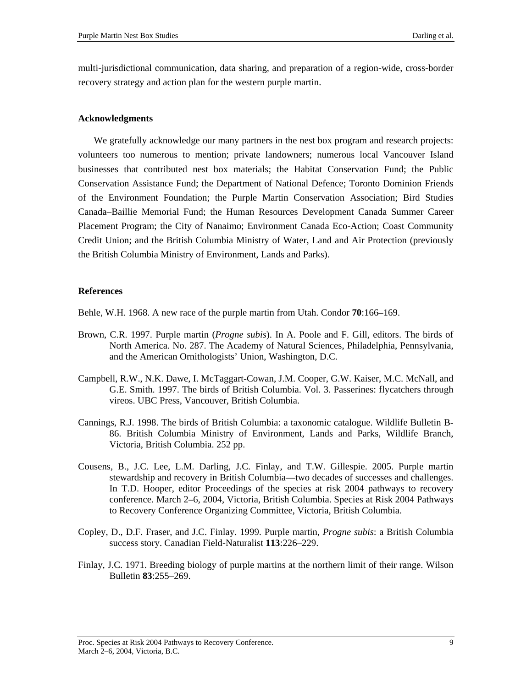multi-jurisdictional communication, data sharing, and preparation of a region-wide, cross-border recovery strategy and action plan for the western purple martin.

### **Acknowledgments**

We gratefully acknowledge our many partners in the nest box program and research projects: volunteers too numerous to mention; private landowners; numerous local Vancouver Island businesses that contributed nest box materials; the Habitat Conservation Fund; the Public Conservation Assistance Fund; the Department of National Defence; Toronto Dominion Friends of the Environment Foundation; the Purple Martin Conservation Association; Bird Studies Canada–Baillie Memorial Fund; the Human Resources Development Canada Summer Career Placement Program; the City of Nanaimo; Environment Canada Eco-Action; Coast Community Credit Union; and the British Columbia Ministry of Water, Land and Air Protection (previously the British Columbia Ministry of Environment, Lands and Parks).

#### **References**

Behle, W.H. 1968. A new race of the purple martin from Utah. Condor **70**:166–169.

- Brown, C.R. 1997. Purple martin (*Progne subis*). In A. Poole and F. Gill, editors. The birds of North America. No. 287. The Academy of Natural Sciences, Philadelphia, Pennsylvania, and the American Ornithologists' Union, Washington, D.C.
- Campbell, R.W., N.K. Dawe, I. McTaggart-Cowan, J.M. Cooper, G.W. Kaiser, M.C. McNall, and G.E. Smith. 1997. The birds of British Columbia. Vol. 3. Passerines: flycatchers through vireos. UBC Press, Vancouver, British Columbia.
- Cannings, R.J. 1998. The birds of British Columbia: a taxonomic catalogue. Wildlife Bulletin B-86. British Columbia Ministry of Environment, Lands and Parks, Wildlife Branch, Victoria, British Columbia. 252 pp.
- Cousens, B., J.C. Lee, L.M. Darling, J.C. Finlay, and T.W. Gillespie. 2005. Purple martin stewardship and recovery in British Columbia—two decades of successes and challenges. In T.D. Hooper, editor Proceedings of the species at risk 2004 pathways to recovery conference. March 2–6, 2004, Victoria, British Columbia. Species at Risk 2004 Pathways to Recovery Conference Organizing Committee, Victoria, British Columbia.
- Copley, D., D.F. Fraser, and J.C. Finlay. 1999. Purple martin, *Progne subis*: a British Columbia success story. Canadian Field-Naturalist **113**:226–229.
- Finlay, J.C. 1971. Breeding biology of purple martins at the northern limit of their range. Wilson Bulletin **83**:255–269.